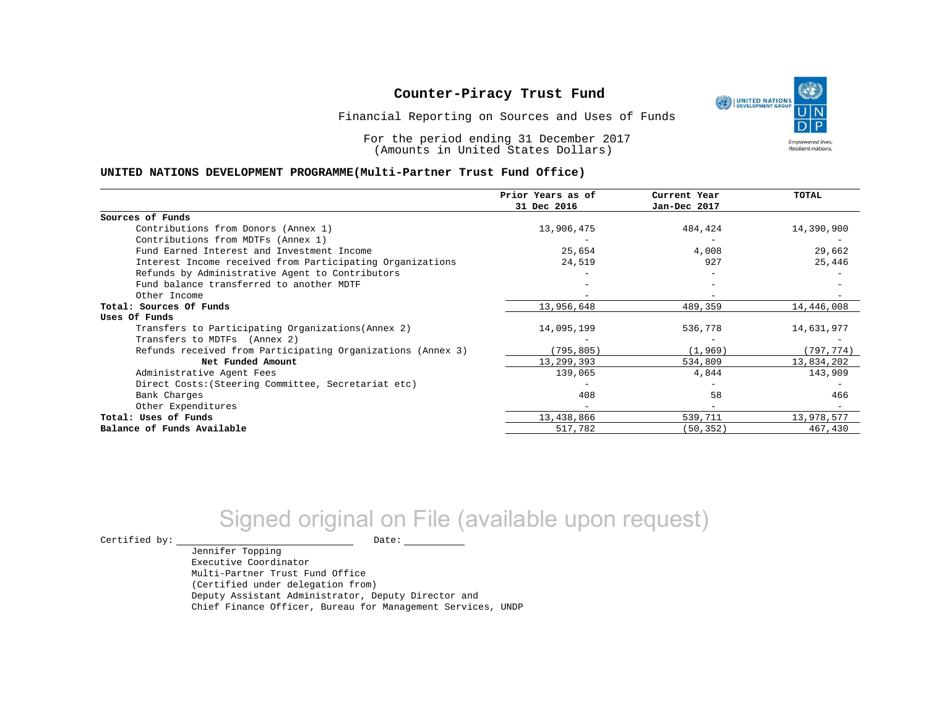UNITED NATIONS **Empowered lives** Resilient nations.

Financial Reporting on Sources and Uses of Funds

For the period ending 31 December 2017 (Amounts in United States Dollars)

#### **UNITED NATIONS DEVELOPMENT PROGRAMME(Multi-Partner Trust Fund Office)**

|                                                             | Prior Years as of<br>31 Dec 2016 | Current Year<br>Jan-Dec 2017 | <b>TOTAL</b> |
|-------------------------------------------------------------|----------------------------------|------------------------------|--------------|
|                                                             |                                  |                              |              |
| Sources of Funds                                            |                                  |                              |              |
| Contributions from Donors (Annex 1)                         | 13,906,475                       | 484,424                      | 14,390,900   |
| Contributions from MDTFs (Annex 1)                          |                                  |                              |              |
| Fund Earned Interest and Investment Income                  | 25,654                           | 4,008                        | 29,662       |
| Interest Income received from Participating Organizations   | 24,519                           | 927                          | 25,446       |
| Refunds by Administrative Agent to Contributors             |                                  |                              |              |
| Fund balance transferred to another MDTF                    |                                  |                              |              |
| Other Income                                                |                                  |                              |              |
| Total: Sources Of Funds                                     | 13,956,648                       | 489,359                      | 14,446,008   |
| Uses Of Funds                                               |                                  |                              |              |
| Transfers to Participating Organizations (Annex 2)          | 14,095,199                       | 536,778                      | 14,631,977   |
| Transfers to MDTFs (Annex 2)                                |                                  |                              |              |
| Refunds received from Participating Organizations (Annex 3) | (795, 805)                       | (1, 969)                     | (797, 774)   |
| Net Funded Amount                                           | 13,299,393                       | 534,809                      | 13,834,202   |
| Administrative Agent Fees                                   | 139,065                          | 4,844                        | 143,909      |
| Direct Costs: (Steering Committee, Secretariat etc)         |                                  |                              |              |
| Bank Charges                                                | 408                              | 58                           | 466          |
| Other Expenditures                                          |                                  |                              |              |
| Total: Uses of Funds                                        | 13,438,866                       | 539,711                      | 13,978,577   |
| Balance of Funds Available                                  | 517,782                          | (50, 352)                    | 467,430      |

# Signed original on File (available upon request)

 $\begin{tabular}{ccccc} \multicolumn{2}{c|}{\textbf{Certified by:}} & \multicolumn{2}{c|}{\textbf{Date:}} \end{tabular}$ 

Jennifer Topping Executive Coordinator Multi-Partner Trust Fund Office (Certified under delegation from) Deputy Assistant Administrator, Deputy Director and Chief Finance Officer, Bureau for Management Services, UNDP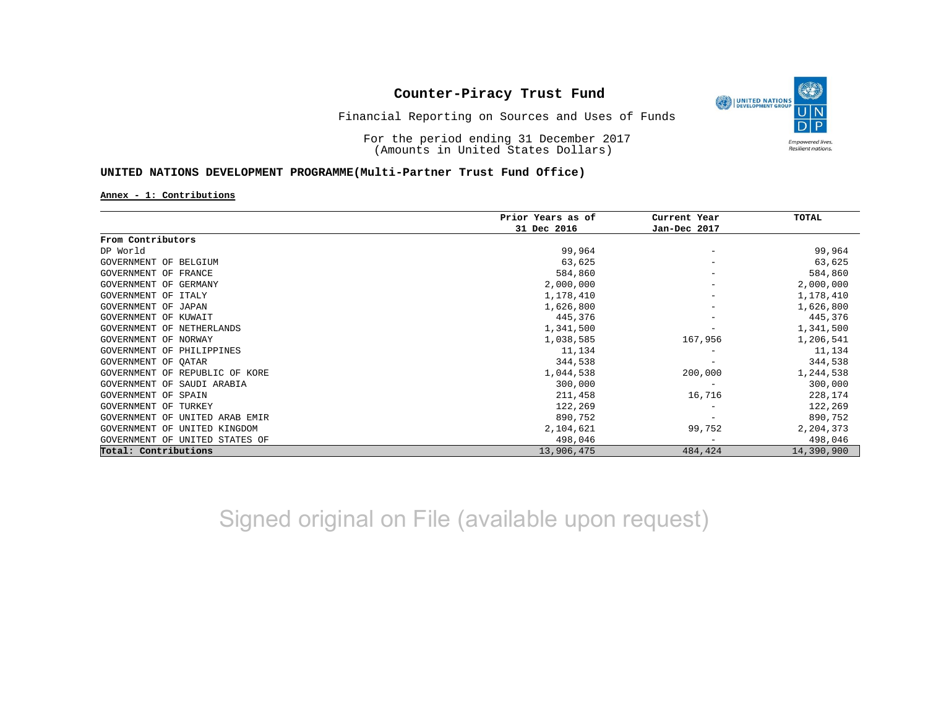

Financial Reporting on Sources and Uses of Funds

For the period ending 31 December 2017 (Amounts in United States Dollars)

### **UNITED NATIONS DEVELOPMENT PROGRAMME(Multi-Partner Trust Fund Office)**

**Annex - 1: Contributions**

|                                      | Prior Years as of | Current Year<br>Jan-Dec 2017 | TOTAL      |
|--------------------------------------|-------------------|------------------------------|------------|
|                                      | 31 Dec 2016       |                              |            |
| From Contributors                    |                   |                              |            |
| DP World                             | 99,964            |                              | 99,964     |
| GOVERNMENT OF BELGIUM                | 63,625            |                              | 63,625     |
| GOVERNMENT OF FRANCE                 | 584,860           |                              | 584,860    |
| GOVERNMENT OF GERMANY                | 2,000,000         | $\overline{\phantom{m}}$     | 2,000,000  |
| GOVERNMENT OF ITALY                  | 1,178,410         |                              | 1,178,410  |
| GOVERNMENT OF<br>JAPAN               | 1,626,800         |                              | 1,626,800  |
| GOVERNMENT OF KUWAIT                 | 445,376           |                              | 445,376    |
| GOVERNMENT OF NETHERLANDS            | 1,341,500         |                              | 1,341,500  |
| GOVERNMENT OF NORWAY                 | 1,038,585         | 167,956                      | 1,206,541  |
| GOVERNMENT OF PHILIPPINES            | 11,134            |                              | 11,134     |
| GOVERNMENT OF OATAR                  | 344,538           |                              | 344,538    |
| GOVERNMENT OF REPUBLIC OF KORE       | 1,044,538         | 200,000                      | 1,244,538  |
| GOVERNMENT OF SAUDI ARABIA           | 300,000           |                              | 300,000    |
| <b>GOVERNMENT OF SPAIN</b>           | 211,458           | 16,716                       | 228,174    |
| GOVERNMENT OF TURKEY                 | 122,269           |                              | 122,269    |
| GOVERNMENT<br>UNITED ARAB EMIR<br>OF | 890,752           |                              | 890,752    |
| GOVERNMENT OF<br>UNITED KINGDOM      | 2,104,621         | 99,752                       | 2,204,373  |
| GOVERNMENT OF UNITED STATES OF       | 498,046           | $\overline{\phantom{m}}$     | 498,046    |
| Total: Contributions                 | 13,906,475        | 484,424                      | 14,390,900 |

Signed original on File (available upon request)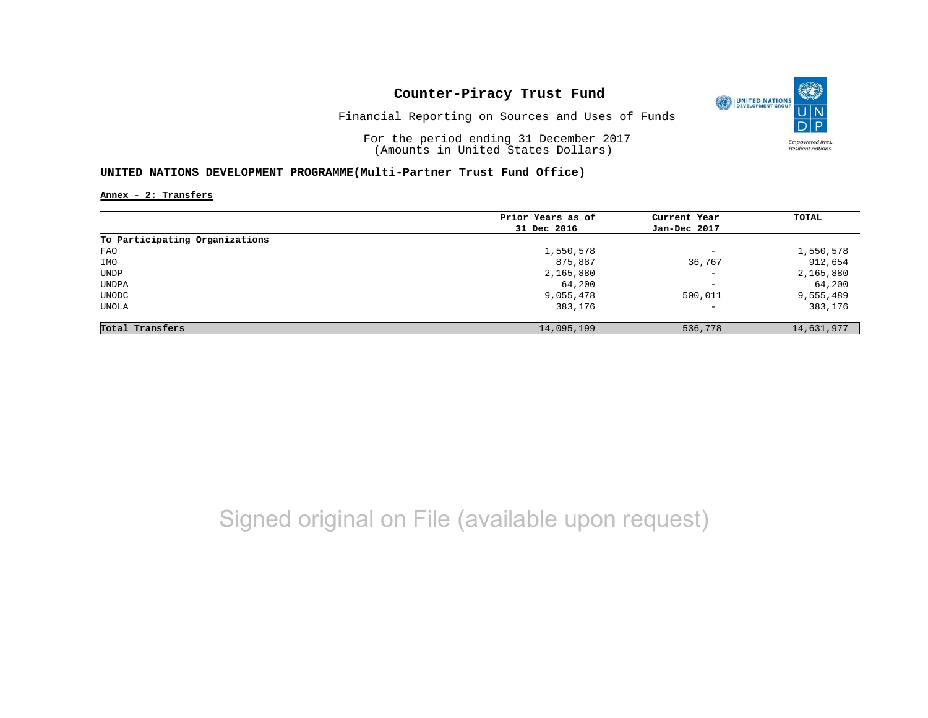

Financial Reporting on Sources and Uses of Funds

For the period ending 31 December 2017 (Amounts in United States Dollars)

### **UNITED NATIONS DEVELOPMENT PROGRAMME(Multi-Partner Trust Fund Office)**

**Annex - 2: Transfers**

|                                | Prior Years as of | Current Year             | TOTAL      |
|--------------------------------|-------------------|--------------------------|------------|
|                                | 31 Dec 2016       | Jan-Dec 2017             |            |
| To Participating Organizations |                   |                          |            |
| FAO                            | 1,550,578         | $\overline{\phantom{0}}$ | 1,550,578  |
| IMO                            | 875,887           | 36,767                   | 912,654    |
| UNDP                           | 2,165,880         | $\overline{\phantom{m}}$ | 2,165,880  |
| UNDPA                          | 64,200            | $-$                      | 64,200     |
| UNODC                          | 9,055,478         | 500,011                  | 9,555,489  |
| UNOLA                          | 383,176           | $\qquad \qquad -$        | 383,176    |
| Total Transfers                | 14,095,199        | 536,778                  | 14,631,977 |

# Signed original on File (available upon request)